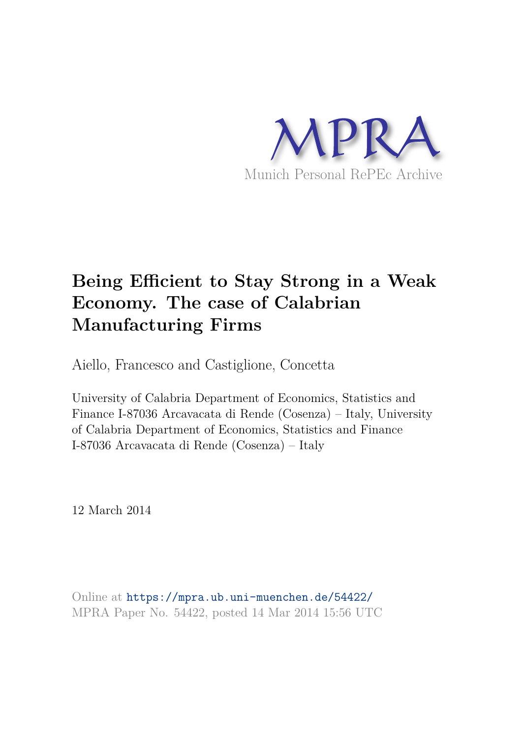

# **Being Efficient to Stay Strong in a Weak Economy. The case of Calabrian Manufacturing Firms**

Aiello, Francesco and Castiglione, Concetta

University of Calabria Department of Economics, Statistics and Finance I-87036 Arcavacata di Rende (Cosenza) – Italy, University of Calabria Department of Economics, Statistics and Finance I-87036 Arcavacata di Rende (Cosenza) – Italy

12 March 2014

Online at https://mpra.ub.uni-muenchen.de/54422/ MPRA Paper No. 54422, posted 14 Mar 2014 15:56 UTC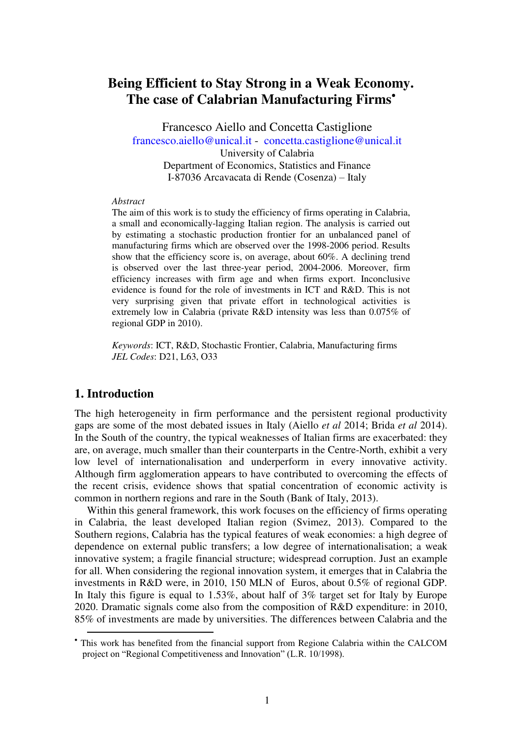# **Being Efficient to Stay Strong in a Weak Economy. The case of Calabrian Manufacturing Firms**

Francesco Aiello and Concetta Castiglione [francesco.aiello@unical.it](mailto:francesco.aiello@unical.it) - [concetta.castiglione@unical.it](mailto:concetta.castiglione@unical.it)  University of Calabria Department of Economics, Statistics and Finance I-87036 Arcavacata di Rende (Cosenza) – Italy

#### *Abstract*

The aim of this work is to study the efficiency of firms operating in Calabria, a small and economically-lagging Italian region. The analysis is carried out by estimating a stochastic production frontier for an unbalanced panel of manufacturing firms which are observed over the 1998-2006 period. Results show that the efficiency score is, on average, about 60%. A declining trend is observed over the last three-year period, 2004-2006. Moreover, firm efficiency increases with firm age and when firms export. Inconclusive evidence is found for the role of investments in ICT and R&D. This is not very surprising given that private effort in technological activities is extremely low in Calabria (private R&D intensity was less than 0.075% of regional GDP in 2010).

*Keywords*: ICT, R&D, Stochastic Frontier, Calabria, Manufacturing firms *JEL Codes*: D21, L63, O33

#### **1. Introduction**

 $\overline{a}$ 

The high heterogeneity in firm performance and the persistent regional productivity gaps are some of the most debated issues in Italy (Aiello *et al* 2014; Brida *et al* 2014). In the South of the country, the typical weaknesses of Italian firms are exacerbated: they are, on average, much smaller than their counterparts in the Centre-North, exhibit a very low level of internationalisation and underperform in every innovative activity. Although firm agglomeration appears to have contributed to overcoming the effects of the recent crisis, evidence shows that spatial concentration of economic activity is common in northern regions and rare in the South (Bank of Italy, 2013).

Within this general framework, this work focuses on the efficiency of firms operating in Calabria, the least developed Italian region (Svimez, 2013). Compared to the Southern regions, Calabria has the typical features of weak economies: a high degree of dependence on external public transfers; a low degree of internationalisation; a weak innovative system; a fragile financial structure; widespread corruption. Just an example for all. When considering the regional innovation system, it emerges that in Calabria the investments in R&D were, in 2010, 150 MLN of Euros, about 0.5% of regional GDP. In Italy this figure is equal to 1.53%, about half of 3% target set for Italy by Europe 2020. Dramatic signals come also from the composition of R&D expenditure: in 2010, 85% of investments are made by universities. The differences between Calabria and the

 This work has benefited from the financial support from Regione Calabria within the CALCOM project on "Regional Competitiveness and Innovation" (L.R. 10/1998).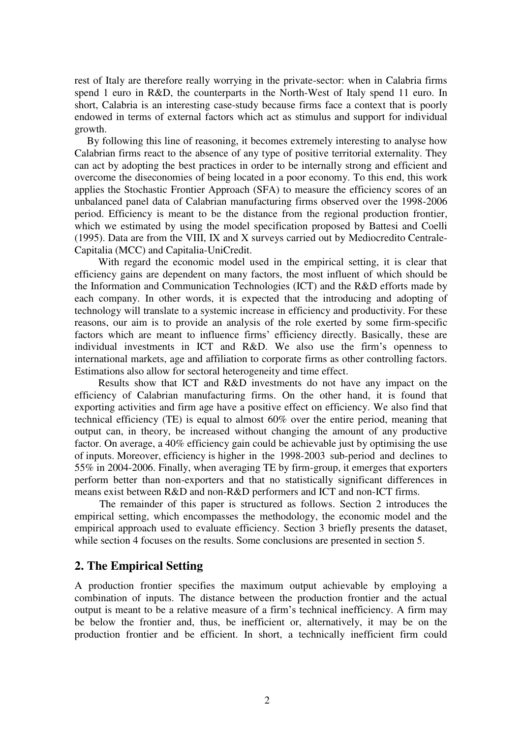rest of Italy are therefore really worrying in the private-sector: when in Calabria firms spend 1 euro in R&D, the counterparts in the North-West of Italy spend 11 euro. In short, Calabria is an interesting case-study because firms face a context that is poorly endowed in terms of external factors which act as stimulus and support for individual growth.

By following this line of reasoning, it becomes extremely interesting to analyse how Calabrian firms react to the absence of any type of positive territorial externality. They can act by adopting the best practices in order to be internally strong and efficient and overcome the diseconomies of being located in a poor economy. To this end, this work applies the Stochastic Frontier Approach (SFA) to measure the efficiency scores of an unbalanced panel data of Calabrian manufacturing firms observed over the 1998-2006 period. Efficiency is meant to be the distance from the regional production frontier, which we estimated by using the model specification proposed by Battesi and Coelli (1995). Data are from the VIII, IX and X surveys carried out by Mediocredito Centrale-Capitalia (MCC) and Capitalia-UniCredit.

With regard the economic model used in the empirical setting, it is clear that efficiency gains are dependent on many factors, the most influent of which should be the Information and Communication Technologies (ICT) and the R&D efforts made by each company. In other words, it is expected that the introducing and adopting of technology will translate to a systemic increase in efficiency and productivity. For these reasons, our aim is to provide an analysis of the role exerted by some firm-specific factors which are meant to influence firms' efficiency directly. Basically, these are individual investments in ICT and R&D. We also use the firm's openness to international markets, age and affiliation to corporate firms as other controlling factors. Estimations also allow for sectoral heterogeneity and time effect.

Results show that ICT and R&D investments do not have any impact on the efficiency of Calabrian manufacturing firms. On the other hand, it is found that exporting activities and firm age have a positive effect on efficiency. We also find that technical efficiency (TE) is equal to almost 60% over the entire period, meaning that output can, in theory, be increased without changing the amount of any productive factor. On average, a 40% efficiency gain could be achievable just by optimising the use of inputs. Moreover, efficiency is higher in the 1998-2003 sub-period and declines to 55% in 2004-2006. Finally, when averaging TE by firm-group, it emerges that exporters perform better than non-exporters and that no statistically significant differences in means exist between R&D and non-R&D performers and ICT and non-ICT firms.

The remainder of this paper is structured as follows. Section 2 introduces the empirical setting, which encompasses the methodology, the economic model and the empirical approach used to evaluate efficiency. Section 3 briefly presents the dataset, while section 4 focuses on the results. Some conclusions are presented in section 5.

### **2. The Empirical Setting**

A production frontier specifies the maximum output achievable by employing a combination of inputs. The distance between the production frontier and the actual output is meant to be a relative measure of a firm's technical inefficiency. A firm may be below the frontier and, thus, be inefficient or, alternatively, it may be on the production frontier and be efficient. In short, a technically inefficient firm could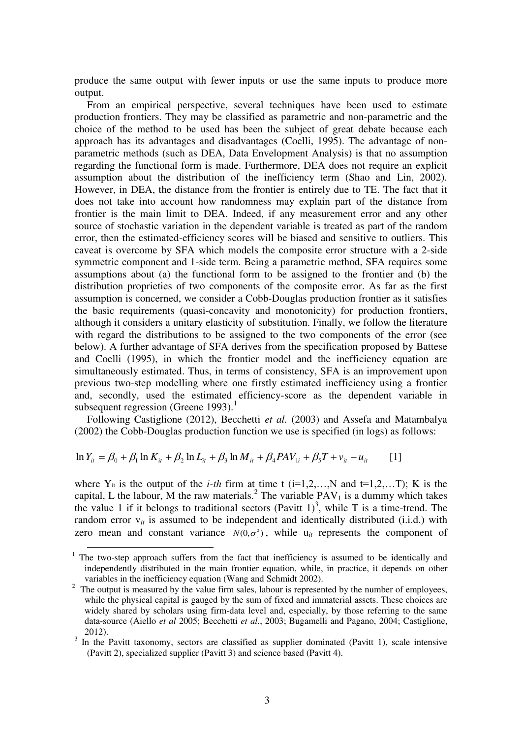produce the same output with fewer inputs or use the same inputs to produce more output.

From an empirical perspective, several techniques have been used to estimate production frontiers. They may be classified as parametric and non-parametric and the choice of the method to be used has been the subject of great debate because each approach has its advantages and disadvantages (Coelli, 1995). The advantage of nonparametric methods (such as DEA, Data Envelopment Analysis) is that no assumption regarding the functional form is made. Furthermore, DEA does not require an explicit assumption about the distribution of the inefficiency term (Shao and Lin, 2002). However, in DEA, the distance from the frontier is entirely due to TE. The fact that it does not take into account how randomness may explain part of the distance from frontier is the main limit to DEA. Indeed, if any measurement error and any other source of stochastic variation in the dependent variable is treated as part of the random error, then the estimated-efficiency scores will be biased and sensitive to outliers. This caveat is overcome by SFA which models the composite error structure with a 2-side symmetric component and 1-side term. Being a parametric method, SFA requires some assumptions about (a) the functional form to be assigned to the frontier and (b) the distribution proprieties of two components of the composite error. As far as the first assumption is concerned, we consider a Cobb-Douglas production frontier as it satisfies the basic requirements (quasi-concavity and monotonicity) for production frontiers, although it considers a unitary elasticity of substitution. Finally, we follow the literature with regard the distributions to be assigned to the two components of the error (see below). A further advantage of SFA derives from the specification proposed by Battese and Coelli (1995), in which the frontier model and the inefficiency equation are simultaneously estimated. Thus, in terms of consistency, SFA is an improvement upon previous two-step modelling where one firstly estimated inefficiency using a frontier and, secondly, used the estimated efficiency-score as the dependent variable in subsequent regression (Greene 1993). $<sup>1</sup>$ </sup>

Following Castiglione (2012), Becchetti *et al.* (2003) and Assefa and Matambalya (2002) the Cobb-Douglas production function we use is specified (in logs) as follows:

$$
\ln Y_{it} = \beta_0 + \beta_1 \ln K_{it} + \beta_2 \ln L_{it} + \beta_3 \ln M_{it} + \beta_4 PAV_{1i} + \beta_5 T + v_{it} - u_{it}
$$
 [1]

 $\overline{a}$ 

where  $Y_{it}$  is the output of the *i-th* firm at time t ( $i=1,2,...,N$  and  $t=1,2,...T$ ); K is the capital, L the labour, M the raw materials.<sup>2</sup> The variable  $PAV_1$  is a dummy which takes the value 1 if it belongs to traditional sectors (Pavitt  $1$ )<sup>3</sup>, while T is a time-trend. The random error  $v_{it}$  is assumed to be independent and identically distributed (i.i.d.) with zero mean and constant variance  $N(0, \sigma_v^2)$ , while  $u_{it}$  represents the component of

<sup>&</sup>lt;sup>1</sup> The two-step approach suffers from the fact that inefficiency is assumed to be identically and independently distributed in the main frontier equation, while, in practice, it depends on other variables in the inefficiency equation (Wang and Schmidt 2002).

 $2\degree$  The output is measured by the value firm sales, labour is represented by the number of employees, while the physical capital is gauged by the sum of fixed and immaterial assets. These choices are widely shared by scholars using firm-data level and, especially, by those referring to the same data-source (Aiello *et al* 2005; Becchetti *et al.*, 2003; Bugamelli and Pagano, 2004; Castiglione, 2012).

<sup>&</sup>lt;sup>3</sup> In the Pavitt taxonomy, sectors are classified as supplier dominated (Pavitt 1), scale intensive (Pavitt 2), specialized supplier (Pavitt 3) and science based (Pavitt 4).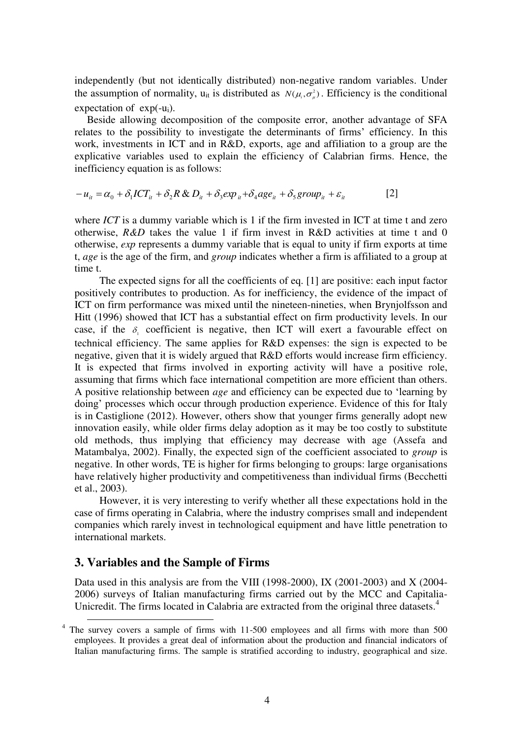independently (but not identically distributed) non-negative random variables. Under the assumption of normality,  $u_{it}$  is distributed as  $N(\mu_i, \sigma^2_\mu)$ . Efficiency is the conditional expectation of  $exp(-u_i)$ .

Beside allowing decomposition of the composite error, another advantage of SFA relates to the possibility to investigate the determinants of firms' efficiency. In this work, investments in ICT and in R&D, exports, age and affiliation to a group are the explicative variables used to explain the efficiency of Calabrian firms. Hence, the inefficiency equation is as follows:

$$
-u_{it} = \alpha_0 + \delta_1 ICT_{it} + \delta_2 R \& D_{it} + \delta_3 exp_{it} + \delta_4 age_{it} + \delta_5 group_{it} + \varepsilon_{it}
$$
 [2]

where *ICT* is a dummy variable which is 1 if the firm invested in ICT at time t and zero otherwise,  $R&D$  takes the value 1 if firm invest in  $R&D$  activities at time t and 0 otherwise, *exp* represents a dummy variable that is equal to unity if firm exports at time t, *age* is the age of the firm, and *group* indicates whether a firm is affiliated to a group at time t.

The expected signs for all the coefficients of eq. [1] are positive: each input factor positively contributes to production. As for inefficiency, the evidence of the impact of ICT on firm performance was mixed until the nineteen-nineties, when Brynjolfsson and Hitt (1996) showed that ICT has a substantial effect on firm productivity levels. In our case, if the  $\delta_1$  coefficient is negative, then ICT will exert a favourable effect on technical efficiency. The same applies for R&D expenses: the sign is expected to be negative, given that it is widely argued that R&D efforts would increase firm efficiency. It is expected that firms involved in exporting activity will have a positive role, assuming that firms which face international competition are more efficient than others. A positive relationship between *age* and efficiency can be expected due to 'learning by doing' processes which occur through production experience. Evidence of this for Italy is in Castiglione (2012). However, others show that younger firms generally adopt new innovation easily, while older firms delay adoption as it may be too costly to substitute old methods, thus implying that efficiency may decrease with age (Assefa and Matambalya, 2002). Finally, the expected sign of the coefficient associated to *group* is negative. In other words, TE is higher for firms belonging to groups: large organisations have relatively higher productivity and competitiveness than individual firms (Becchetti et al., 2003).

However, it is very interesting to verify whether all these expectations hold in the case of firms operating in Calabria, where the industry comprises small and independent companies which rarely invest in technological equipment and have little penetration to international markets.

#### **3. Variables and the Sample of Firms**

Data used in this analysis are from the VIII (1998-2000), IX (2001-2003) and X (2004- 2006) surveys of Italian manufacturing firms carried out by the MCC and Capitalia-Unicredit. The firms located in Calabria are extracted from the original three datasets.<sup>4</sup>

<sup>&</sup>lt;sup>4</sup> The survey covers a sample of firms with 11-500 employees and all firms with more than 500 employees. It provides a great deal of information about the production and financial indicators of Italian manufacturing firms. The sample is stratified according to industry, geographical and size.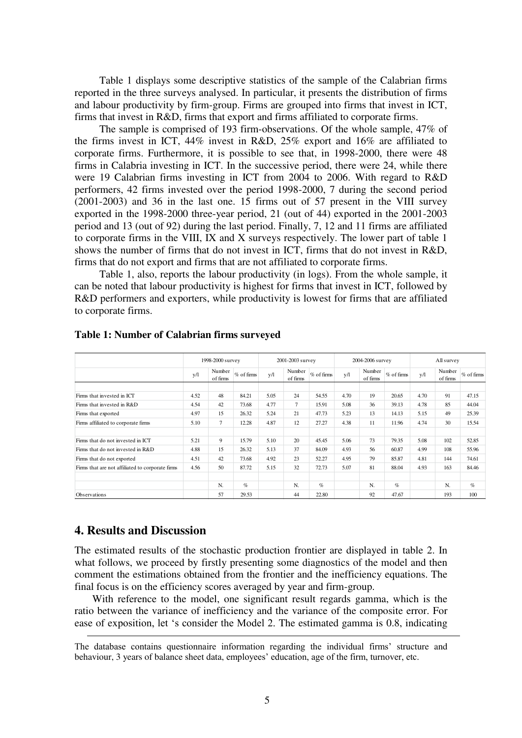Table 1 displays some descriptive statistics of the sample of the Calabrian firms reported in the three surveys analysed. In particular, it presents the distribution of firms and labour productivity by firm-group. Firms are grouped into firms that invest in ICT, firms that invest in R&D, firms that export and firms affiliated to corporate firms.

The sample is comprised of 193 firm-observations. Of the whole sample, 47% of the firms invest in ICT, 44% invest in R&D, 25% export and 16% are affiliated to corporate firms. Furthermore, it is possible to see that, in 1998-2000, there were 48 firms in Calabria investing in ICT. In the successive period, there were 24, while there were 19 Calabrian firms investing in ICT from 2004 to 2006. With regard to R&D performers, 42 firms invested over the period 1998-2000, 7 during the second period (2001-2003) and 36 in the last one. 15 firms out of 57 present in the VIII survey exported in the 1998-2000 three-year period, 21 (out of 44) exported in the 2001-2003 period and 13 (out of 92) during the last period. Finally, 7, 12 and 11 firms are affiliated to corporate firms in the VIII, IX and X surveys respectively. The lower part of table 1 shows the number of firms that do not invest in ICT, firms that do not invest in R&D, firms that do not export and firms that are not affiliated to corporate firms.

Table 1, also, reports the labour productivity (in logs). From the whole sample, it can be noted that labour productivity is highest for firms that invest in ICT, followed by R&D performers and exporters, while productivity is lowest for firms that are affiliated to corporate firms.

|                                                  | 1998-2000 survey |                    |                 | 2001-2003 survey |                    |              | 2004-2006 survey |                    |                 | All survey |                    |              |
|--------------------------------------------------|------------------|--------------------|-----------------|------------------|--------------------|--------------|------------------|--------------------|-----------------|------------|--------------------|--------------|
|                                                  | y/l              | Number<br>of firms | $%$ of firms    | v/l              | Number<br>of firms | $%$ of firms | v/l              | Number<br>of firms | $%$ of firms    | y/l        | Number<br>of firms | $%$ of firms |
|                                                  |                  |                    |                 |                  |                    |              |                  |                    |                 |            |                    |              |
| Firms that invested in ICT                       | 4.52             | 48                 | 84.21           | 5.05             | 24                 | 54.55        | 4.70             | 19                 | 20.65           | 4.70       | 91                 | 47.15        |
| Firms that invested in R&D                       | 4.54             | 42                 | 73.68           | 4.77             | $\tau$             | 15.91        | 5.08             | 36                 | 39.13           | 4.78       | 85                 | 44.04        |
| Firms that exported                              | 4.97             | 15                 | 26.32           | 5.24             | 21                 | 47.73        | 5.23             | 13                 | 14.13           | 5.15       | 49                 | 25.39        |
| Firms affiliated to corporate firms              | 5.10             | $\tau$             | 12.28           | 4.87             | 12                 | 27.27        | 4.38             | 11                 | 11.96           | 4.74       | 30                 | 15.54        |
|                                                  |                  |                    |                 |                  |                    |              |                  |                    |                 |            |                    |              |
| Firms that do not invested in ICT                | 5.21             | 9                  | 15.79           | 5.10             | 20                 | 45.45        | 5.06             | 73                 | 79.35           | 5.08       | 102                | 52.85        |
| Firms that do not invested in R&D                | 4.88             | 15                 | 26.32           | 5.13             | 37                 | 84.09        | 4.93             | 56                 | 60.87           | 4.99       | 108                | 55.96        |
| Firms that do not exported                       | 4.51             | 42                 | 73.68           | 4.92             | 23                 | 52.27        | 4.95             | 79                 | 85.87           | 4.81       | 144                | 74.61        |
| Firms that are not affiliated to corporate firms | 4.56             | 50                 | 87.72           | 5.15             | 32                 | 72.73        | 5.07             | 81                 | 88.04           | 4.93       | 163                | 84.46        |
|                                                  |                  |                    |                 |                  |                    |              |                  |                    |                 |            |                    |              |
|                                                  |                  | N.                 | $\mathcal{G}_0$ |                  | N.                 | $\%$         |                  | N.                 | $\mathcal{G}_0$ |            | N.                 | $\%$         |
| Observations                                     |                  | 57                 | 29.53           |                  | 44                 | 22.80        |                  | 92                 | 47.67           |            | 193                | 100          |

**Table 1: Number of Calabrian firms surveyed** 

#### **4. Results and Discussion**

-

The estimated results of the stochastic production frontier are displayed in table 2. In what follows, we proceed by firstly presenting some diagnostics of the model and then comment the estimations obtained from the frontier and the inefficiency equations. The final focus is on the efficiency scores averaged by year and firm-group.

 With reference to the model, one significant result regards gamma, which is the ratio between the variance of inefficiency and the variance of the composite error. For ease of exposition, let 's consider the Model 2. The estimated gamma is 0.8, indicating

The database contains questionnaire information regarding the individual firms' structure and behaviour, 3 years of balance sheet data, employees' education, age of the firm, turnover, etc.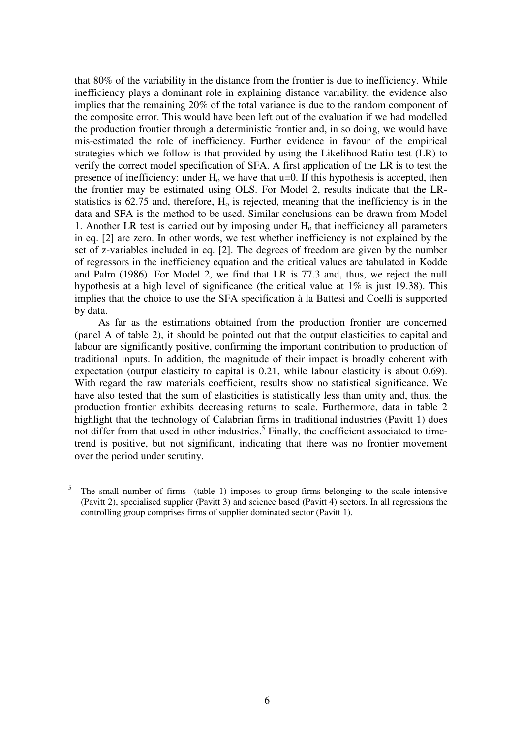that 80% of the variability in the distance from the frontier is due to inefficiency. While inefficiency plays a dominant role in explaining distance variability, the evidence also implies that the remaining 20% of the total variance is due to the random component of the composite error. This would have been left out of the evaluation if we had modelled the production frontier through a deterministic frontier and, in so doing, we would have mis-estimated the role of inefficiency. Further evidence in favour of the empirical strategies which we follow is that provided by using the Likelihood Ratio test (LR) to verify the correct model specification of SFA. A first application of the LR is to test the presence of inefficiency: under  $H_0$  we have that u=0. If this hypothesis is accepted, then the frontier may be estimated using OLS. For Model 2, results indicate that the LRstatistics is  $62.75$  and, therefore,  $H<sub>o</sub>$  is rejected, meaning that the inefficiency is in the data and SFA is the method to be used. Similar conclusions can be drawn from Model 1. Another LR test is carried out by imposing under  $H_0$  that inefficiency all parameters in eq. [2] are zero. In other words, we test whether inefficiency is not explained by the set of z-variables included in eq. [2]. The degrees of freedom are given by the number of regressors in the inefficiency equation and the critical values are tabulated in Kodde and Palm (1986). For Model 2, we find that LR is 77.3 and, thus, we reject the null hypothesis at a high level of significance (the critical value at 1% is just 19.38). This implies that the choice to use the SFA specification à la Battesi and Coelli is supported by data.

As far as the estimations obtained from the production frontier are concerned (panel A of table 2), it should be pointed out that the output elasticities to capital and labour are significantly positive, confirming the important contribution to production of traditional inputs. In addition, the magnitude of their impact is broadly coherent with expectation (output elasticity to capital is 0.21, while labour elasticity is about 0.69). With regard the raw materials coefficient, results show no statistical significance. We have also tested that the sum of elasticities is statistically less than unity and, thus, the production frontier exhibits decreasing returns to scale. Furthermore, data in table 2 highlight that the technology of Calabrian firms in traditional industries (Pavitt 1) does not differ from that used in other industries.<sup>5</sup> Finally, the coefficient associated to timetrend is positive, but not significant, indicating that there was no frontier movement over the period under scrutiny.

 $\overline{a}$ 

<sup>5</sup> The small number of firms (table 1) imposes to group firms belonging to the scale intensive (Pavitt 2), specialised supplier (Pavitt 3) and science based (Pavitt 4) sectors. In all regressions the controlling group comprises firms of supplier dominated sector (Pavitt 1).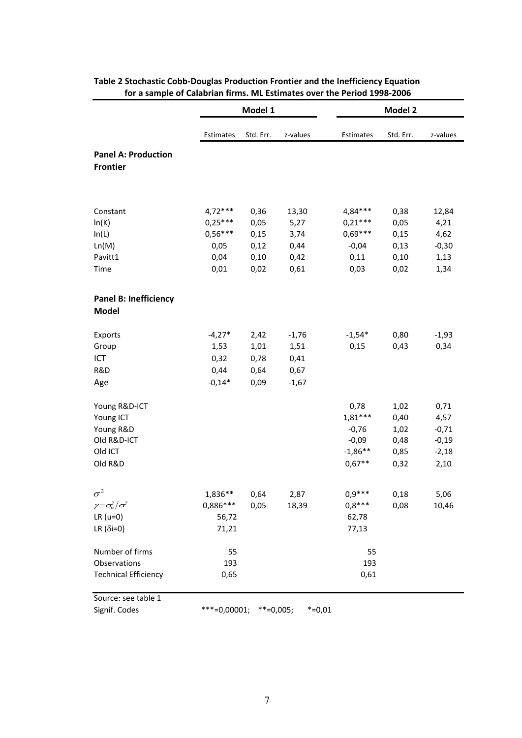|                                               |                | Model 1      |          | Model 2   |           |          |  |  |
|-----------------------------------------------|----------------|--------------|----------|-----------|-----------|----------|--|--|
|                                               | Estimates      | Std. Err.    | z-values | Estimates | Std. Err. | z-values |  |  |
| <b>Panel A: Production</b><br><b>Frontier</b> |                |              |          |           |           |          |  |  |
| Constant                                      | $4,72***$      | 0,36         | 13,30    | 4,84***   | 0,38      | 12,84    |  |  |
| ln(K)                                         | $0,25***$      | 0,05         | 5,27     | $0,21***$ | 0,05      | 4,21     |  |  |
| ln(L)                                         | $0,56***$      | 0,15         | 3,74     | $0.69***$ | 0,15      | 4,62     |  |  |
| Ln(M)                                         | 0,05           | 0,12         | 0,44     | $-0,04$   | 0,13      | $-0,30$  |  |  |
| Pavitt1                                       | 0,04           | 0,10         | 0,42     | 0,11      | 0,10      | 1,13     |  |  |
| Time                                          | 0,01           | 0,02         | 0,61     | 0,03      | 0,02      | 1,34     |  |  |
| <b>Panel B: Inefficiency</b><br><b>Model</b>  |                |              |          |           |           |          |  |  |
| Exports                                       | $-4,27*$       | 2,42         | $-1,76$  | $-1,54*$  | 0,80      | $-1,93$  |  |  |
| Group                                         | 1,53           | 1,01         | 1,51     | 0,15      | 0,43      | 0,34     |  |  |
| ICT                                           | 0,32           | 0,78         | 0,41     |           |           |          |  |  |
| R&D                                           | 0,44           | 0,64         | 0,67     |           |           |          |  |  |
| Age                                           | $-0,14*$       | 0,09         | $-1,67$  |           |           |          |  |  |
| Young R&D-ICT                                 |                |              |          | 0,78      | 1,02      | 0,71     |  |  |
| Young ICT                                     |                |              |          | $1,81***$ | 0,40      | 4,57     |  |  |
| Young R&D                                     |                |              |          | $-0,76$   | 1,02      | $-0,71$  |  |  |
| Old R&D-ICT                                   |                |              |          | $-0,09$   | 0,48      | $-0,19$  |  |  |
| Old ICT                                       |                |              |          | $-1,86**$ | 0,85      | $-2,18$  |  |  |
| Old R&D                                       |                |              |          | $0,67**$  | 0,32      | 2,10     |  |  |
| $\sigma^2$                                    | 1,836**        | 0,64         | 2,87     | $0,9***$  | 0,18      | 5,06     |  |  |
| $\gamma = \sigma_u^2/\sigma^2$                | 0,886***       | 0,05         | 18,39    | $0.8***$  | 0,08      | 10,46    |  |  |
| $LR$ ( $u=0$ )                                | 56,72          |              |          | 62,78     |           |          |  |  |
| LR ( $\delta$ i=0)                            | 71,21          |              |          | 77,13     |           |          |  |  |
| Number of firms                               | 55             |              |          | 55        |           |          |  |  |
| Observations                                  | 193            |              |          | 193       |           |          |  |  |
| <b>Technical Efficiency</b>                   | 0,65           |              |          | 0,61      |           |          |  |  |
| Source: see table 1                           |                |              |          |           |           |          |  |  |
| Signif. Codes                                 | $***=0,00001;$ | $***=0,005;$ | $*=0,01$ |           |           |          |  |  |

#### **Table 2 Stochastic Cobb-Douglas Production Frontier and the Inefficiency Equation for a sample of Calabrian firms. ML Estimates over the Period 1998-2006**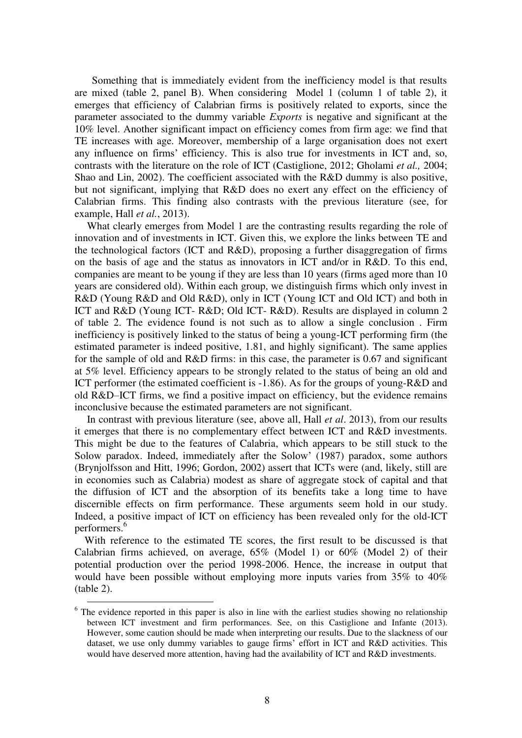Something that is immediately evident from the inefficiency model is that results are mixed (table 2, panel B). When considering Model 1 (column 1 of table 2), it emerges that efficiency of Calabrian firms is positively related to exports, since the parameter associated to the dummy variable *Exports* is negative and significant at the 10% level. Another significant impact on efficiency comes from firm age: we find that TE increases with age. Moreover, membership of a large organisation does not exert any influence on firms' efficiency. This is also true for investments in ICT and, so, contrasts with the literature on the role of ICT (Castiglione, 2012; Gholami *et al.,* 2004; Shao and Lin, 2002). The coefficient associated with the R&D dummy is also positive, but not significant, implying that R&D does no exert any effect on the efficiency of Calabrian firms. This finding also contrasts with the previous literature (see, for example, Hall *et al.*, 2013).

What clearly emerges from Model 1 are the contrasting results regarding the role of innovation and of investments in ICT. Given this, we explore the links between TE and the technological factors (ICT and R&D), proposing a further disaggregation of firms on the basis of age and the status as innovators in ICT and/or in R&D. To this end, companies are meant to be young if they are less than 10 years (firms aged more than 10 years are considered old). Within each group, we distinguish firms which only invest in R&D (Young R&D and Old R&D), only in ICT (Young ICT and Old ICT) and both in ICT and R&D (Young ICT- R&D; Old ICT- R&D). Results are displayed in column 2 of table 2. The evidence found is not such as to allow a single conclusion . Firm inefficiency is positively linked to the status of being a young-ICT performing firm (the estimated parameter is indeed positive, 1.81, and highly significant). The same applies for the sample of old and R&D firms: in this case, the parameter is 0.67 and significant at 5% level. Efficiency appears to be strongly related to the status of being an old and ICT performer (the estimated coefficient is -1.86). As for the groups of young-R&D and old R&D–ICT firms, we find a positive impact on efficiency, but the evidence remains inconclusive because the estimated parameters are not significant.

In contrast with previous literature (see, above all, Hall *et al*. 2013), from our results it emerges that there is no complementary effect between ICT and R&D investments. This might be due to the features of Calabria, which appears to be still stuck to the Solow paradox. Indeed, immediately after the Solow' (1987) paradox, some authors (Brynjolfsson and Hitt, 1996; Gordon, 2002) assert that ICTs were (and, likely, still are in economies such as Calabria) modest as share of aggregate stock of capital and that the diffusion of ICT and the absorption of its benefits take a long time to have discernible effects on firm performance. These arguments seem hold in our study. Indeed, a positive impact of ICT on efficiency has been revealed only for the old-ICT performers.<sup>6</sup>

With reference to the estimated TE scores, the first result to be discussed is that Calabrian firms achieved, on average, 65% (Model 1) or 60% (Model 2) of their potential production over the period 1998-2006. Hence, the increase in output that would have been possible without employing more inputs varies from 35% to 40% (table 2).

 $\overline{a}$ 

<sup>&</sup>lt;sup>6</sup> The evidence reported in this paper is also in line with the earliest studies showing no relationship between ICT investment and firm performances. See, on this Castiglione and Infante (2013). However, some caution should be made when interpreting our results. Due to the slackness of our dataset, we use only dummy variables to gauge firms' effort in ICT and R&D activities. This would have deserved more attention, having had the availability of ICT and R&D investments.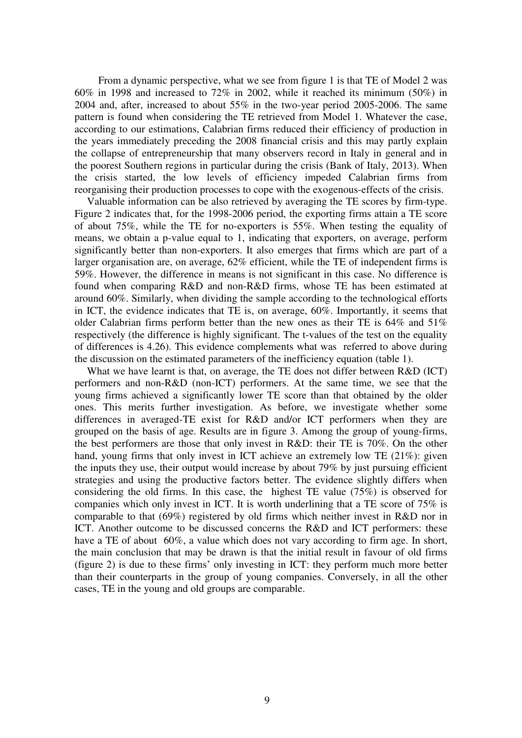From a dynamic perspective, what we see from figure 1 is that TE of Model 2 was 60% in 1998 and increased to 72% in 2002, while it reached its minimum (50%) in 2004 and, after, increased to about 55% in the two-year period 2005-2006. The same pattern is found when considering the TE retrieved from Model 1. Whatever the case, according to our estimations, Calabrian firms reduced their efficiency of production in the years immediately preceding the 2008 financial crisis and this may partly explain the collapse of entrepreneurship that many observers record in Italy in general and in the poorest Southern regions in particular during the crisis (Bank of Italy, 2013). When the crisis started, the low levels of efficiency impeded Calabrian firms from reorganising their production processes to cope with the exogenous-effects of the crisis.

Valuable information can be also retrieved by averaging the TE scores by firm-type. Figure 2 indicates that, for the 1998-2006 period, the exporting firms attain a TE score of about 75%, while the TE for no-exporters is 55%. When testing the equality of means, we obtain a p-value equal to 1, indicating that exporters, on average, perform significantly better than non-exporters. It also emerges that firms which are part of a larger organisation are, on average, 62% efficient, while the TE of independent firms is 59%. However, the difference in means is not significant in this case. No difference is found when comparing R&D and non-R&D firms, whose TE has been estimated at around 60%. Similarly, when dividing the sample according to the technological efforts in ICT, the evidence indicates that TE is, on average, 60%. Importantly, it seems that older Calabrian firms perform better than the new ones as their TE is 64% and 51% respectively (the difference is highly significant. The t-values of the test on the equality of differences is 4.26). This evidence complements what was referred to above during the discussion on the estimated parameters of the inefficiency equation (table 1).

What we have learnt is that, on average, the TE does not differ between R&D (ICT) performers and non-R&D (non-ICT) performers. At the same time, we see that the young firms achieved a significantly lower TE score than that obtained by the older ones. This merits further investigation. As before, we investigate whether some differences in averaged-TE exist for R&D and/or ICT performers when they are grouped on the basis of age. Results are in figure 3. Among the group of young-firms, the best performers are those that only invest in R&D: their TE is 70%. On the other hand, young firms that only invest in ICT achieve an extremely low TE (21%): given the inputs they use, their output would increase by about 79% by just pursuing efficient strategies and using the productive factors better. The evidence slightly differs when considering the old firms. In this case, the highest TE value (75%) is observed for companies which only invest in ICT. It is worth underlining that a TE score of 75% is comparable to that (69%) registered by old firms which neither invest in R&D nor in ICT. Another outcome to be discussed concerns the R&D and ICT performers: these have a TE of about 60%, a value which does not vary according to firm age. In short, the main conclusion that may be drawn is that the initial result in favour of old firms (figure 2) is due to these firms' only investing in ICT: they perform much more better than their counterparts in the group of young companies. Conversely, in all the other cases, TE in the young and old groups are comparable.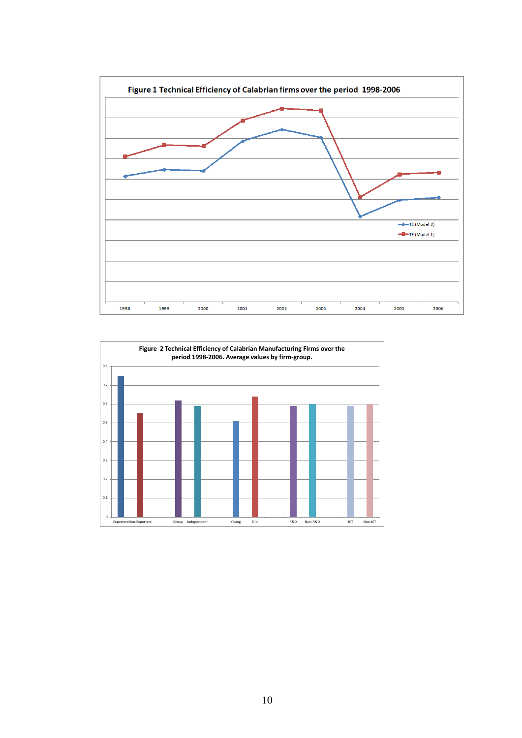

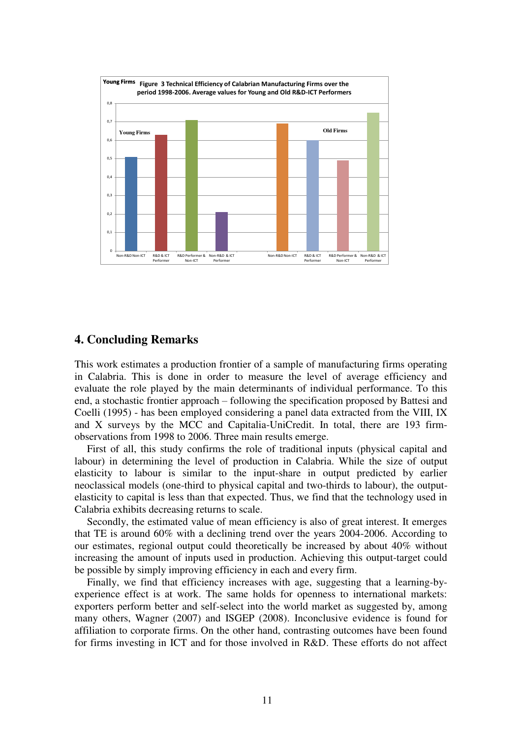

## **4. Concluding Remarks**

This work estimates a production frontier of a sample of manufacturing firms operating in Calabria. This is done in order to measure the level of average efficiency and evaluate the role played by the main determinants of individual performance. To this end, a stochastic frontier approach – following the specification proposed by Battesi and Coelli (1995) - has been employed considering a panel data extracted from the VIII, IX and X surveys by the MCC and Capitalia-UniCredit. In total, there are 193 firmobservations from 1998 to 2006. Three main results emerge.

First of all, this study confirms the role of traditional inputs (physical capital and labour) in determining the level of production in Calabria. While the size of output elasticity to labour is similar to the input-share in output predicted by earlier neoclassical models (one-third to physical capital and two-thirds to labour), the outputelasticity to capital is less than that expected. Thus, we find that the technology used in Calabria exhibits decreasing returns to scale.

Secondly, the estimated value of mean efficiency is also of great interest. It emerges that TE is around 60% with a declining trend over the years 2004-2006. According to our estimates, regional output could theoretically be increased by about 40% without increasing the amount of inputs used in production. Achieving this output-target could be possible by simply improving efficiency in each and every firm.

Finally, we find that efficiency increases with age, suggesting that a learning-byexperience effect is at work. The same holds for openness to international markets: exporters perform better and self-select into the world market as suggested by, among many others, Wagner (2007) and ISGEP (2008). Inconclusive evidence is found for affiliation to corporate firms. On the other hand, contrasting outcomes have been found for firms investing in ICT and for those involved in R&D. These efforts do not affect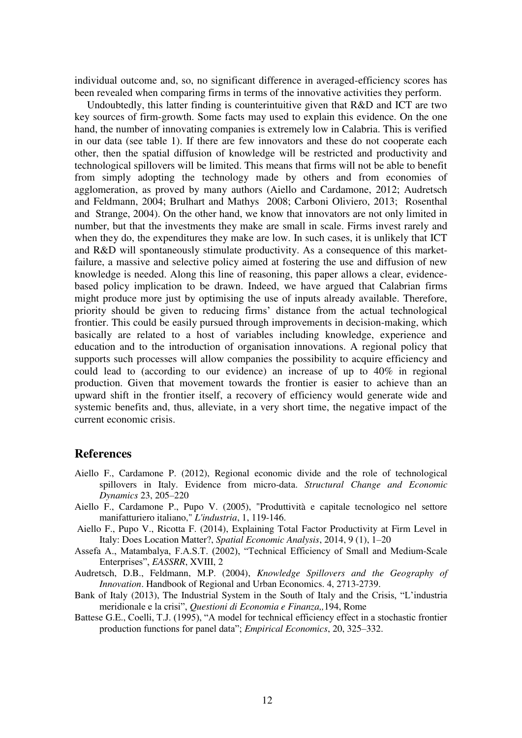individual outcome and, so, no significant difference in averaged-efficiency scores has been revealed when comparing firms in terms of the innovative activities they perform.

Undoubtedly, this latter finding is counterintuitive given that R&D and ICT are two key sources of firm-growth. Some facts may used to explain this evidence. On the one hand, the number of innovating companies is extremely low in Calabria. This is verified in our data (see table 1). If there are few innovators and these do not cooperate each other, then the spatial diffusion of knowledge will be restricted and productivity and technological spillovers will be limited. This means that firms will not be able to benefit from simply adopting the technology made by others and from economies of agglomeration, as proved by many authors (Aiello and Cardamone, 2012; Audretsch and Feldmann, 2004; Brulhart and Mathys 2008; Carboni Oliviero, 2013; Rosenthal and Strange, 2004). On the other hand, we know that innovators are not only limited in number, but that the investments they make are small in scale. Firms invest rarely and when they do, the expenditures they make are low. In such cases, it is unlikely that ICT and R&D will spontaneously stimulate productivity. As a consequence of this marketfailure, a massive and selective policy aimed at fostering the use and diffusion of new knowledge is needed. Along this line of reasoning, this paper allows a clear, evidencebased policy implication to be drawn. Indeed, we have argued that Calabrian firms might produce more just by optimising the use of inputs already available. Therefore, priority should be given to reducing firms' distance from the actual technological frontier. This could be easily pursued through improvements in decision-making, which basically are related to a host of variables including knowledge, experience and education and to the introduction of organisation innovations. A regional policy that supports such processes will allow companies the possibility to acquire efficiency and could lead to (according to our evidence) an increase of up to 40% in regional production. Given that movement towards the frontier is easier to achieve than an upward shift in the frontier itself, a recovery of efficiency would generate wide and systemic benefits and, thus, alleviate, in a very short time, the negative impact of the current economic crisis.

#### **References**

- Aiello F., Cardamone P. (2012), Regional economic divide and the role of technological spillovers in Italy. Evidence from micro-data. *Structural Change and Economic Dynamics* 23, 205–220
- Aiello F., Cardamone P., Pupo V. (2005), "Produttività e capitale tecnologico nel settore manifatturiero italiano," *L'industria*, 1, 119-146.
- Aiello F., Pupo V., Ricotta F. (2014), Explaining Total Factor Productivity at Firm Level in Italy: Does Location Matter?, *Spatial Economic Analysis*, 2014, 9 (1), 1–20
- Assefa A., Matambalya, F.A.S.T. (2002), "Technical Efficiency of Small and Medium-Scale Enterprises", *EASSRR*, XVIII, 2
- Audretsch, D.B., Feldmann, M.P. (2004), *Knowledge Spillovers and the Geography of Innovation*. Handbook of Regional and Urban Economics. 4, 2713-2739.
- Bank of Italy (2013), The Industrial System in the South of Italy and the Crisis, "L'industria meridionale e la crisi", *Questioni di Economia e Finanza,,*194, Rome
- Battese G.E., Coelli, T.J. (1995), "A model for technical efficiency effect in a stochastic frontier production functions for panel data"; *Empirical Economics*, 20, 325–332.